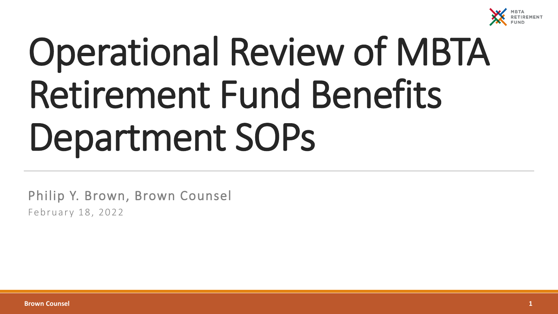

# Operational Review of MBTA Retirement Fund Benefits Department SOPs

Philip Y. Brown, Brown Counsel February 18, 2022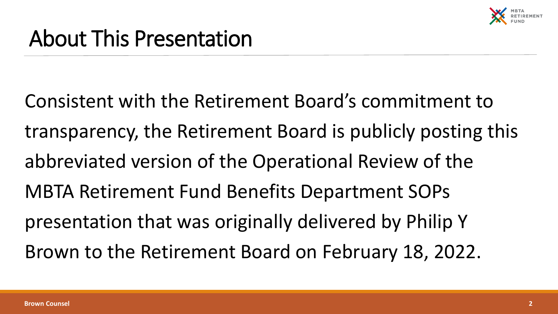

Consistent with the Retirement Board's commitment to transparency, the Retirement Board is publicly posting this abbreviated version of the Operational Review of the MBTA Retirement Fund Benefits Department SOPs presentation that was originally delivered by Philip Y Brown to the Retirement Board on February 18, 2022.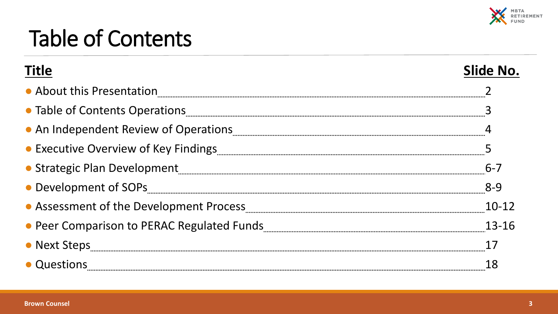

## Table of Contents

| <b>Fitle</b>                               | Slide No. |
|--------------------------------------------|-----------|
| • About this Presentation                  |           |
| • Table of Contents Operations             |           |
| • An Independent Review of Operations      |           |
| • Executive Overview of Key Findings       |           |
| • Strategic Plan Development               |           |
| • Development of SOPs                      | $8-9$     |
| • Assessment of the Development Process    |           |
| • Peer Comparison to PERAC Regulated Funds | 13-16     |
| • Next Steps                               |           |
| Questions                                  |           |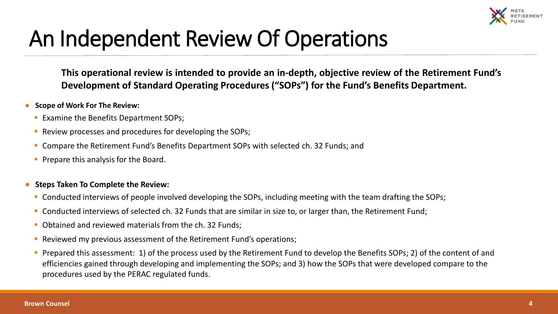

## An Independent Review Of Operations

**This operational review is intended to provide an in-depth, objective review of the Retirement Fund's Development of Standard Operating Procedures ("SOPs") for the Fund's Benefits Department.**

- **Scope of Work For The Review:**
	- **Examine the Benefits Department SOPs;**
	- **Review processes and procedures for developing the SOPs;**
	- Compare the Retirement Fund's Benefits Department SOPs with selected ch. 32 Funds; and
	- **Prepare this analysis for the Board.**

#### **Steps Taken To Complete the Review:**

- Conducted interviews of people involved developing the SOPs, including meeting with the team drafting the SOPs;
- Conducted interviews of selected ch. 32 Funds that are similar in size to, or larger than, the Retirement Fund;
- Obtained and reviewed materials from the ch. 32 Funds;
- **Reviewed my previous assessment of the Retirement Fund's operations;**
- **Prepared this assessment: 1) of the process used by the Retirement Fund to develop the Benefits SOPs; 2) of the content of and** efficiencies gained through developing and implementing the SOPs; and 3) how the SOPs that were developed compare to the procedures used by the PERAC regulated funds.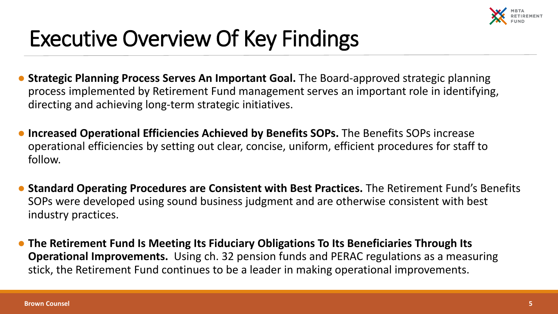

#### Executive Overview Of Key Findings

- **Strategic Planning Process Serves An Important Goal.** The Board-approved strategic planning process implemented by Retirement Fund management serves an important role in identifying, directing and achieving long-term strategic initiatives.
- **Increased Operational Efficiencies Achieved by Benefits SOPs.** The Benefits SOPs increase operational efficiencies by setting out clear, concise, uniform, efficient procedures for staff to follow.
- **Standard Operating Procedures are Consistent with Best Practices.** The Retirement Fund's Benefits SOPs were developed using sound business judgment and are otherwise consistent with best industry practices.
- **The Retirement Fund Is Meeting Its Fiduciary Obligations To Its Beneficiaries Through Its Operational Improvements.** Using ch. 32 pension funds and PERAC regulations as a measuring stick, the Retirement Fund continues to be a leader in making operational improvements.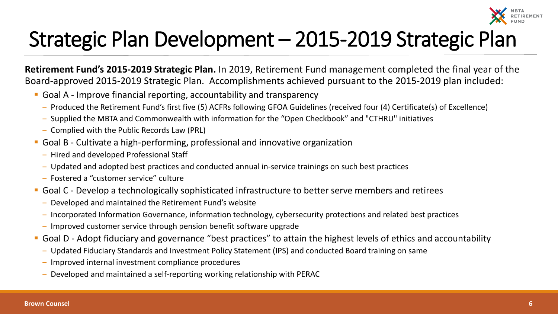

## Strategic Plan Development – 2015-2019 Strategic Plan

**Retirement Fund's 2015-2019 Strategic Plan.** In 2019, Retirement Fund management completed the final year of the Board-approved 2015-2019 Strategic Plan. Accomplishments achieved pursuant to the 2015-2019 plan included:

- Goal A Improve financial reporting, accountability and transparency
	- ‒ Produced the Retirement Fund's first five (5) ACFRs following GFOA Guidelines (received four (4) Certificate(s) of Excellence)
	- ‒ Supplied the MBTA and Commonwealth with information for the "Open Checkbook" and "CTHRU" initiatives
	- ‒ Complied with the Public Records Law (PRL)
- Goal B Cultivate a high-performing, professional and innovative organization
	- ‒ Hired and developed Professional Staff
	- ‒ Updated and adopted best practices and conducted annual in-service trainings on such best practices
	- ‒ Fostered a "customer service" culture
- Goal C Develop a technologically sophisticated infrastructure to better serve members and retirees
	- ‒ Developed and maintained the Retirement Fund's website
	- ‒ Incorporated Information Governance, information technology, cybersecurity protections and related best practices
	- ‒ Improved customer service through pension benefit software upgrade
- Goal D Adopt fiduciary and governance "best practices" to attain the highest levels of ethics and accountability
	- ‒ Updated Fiduciary Standards and Investment Policy Statement (IPS) and conducted Board training on same
	- ‒ Improved internal investment compliance procedures
	- ‒ Developed and maintained a self-reporting working relationship with PERAC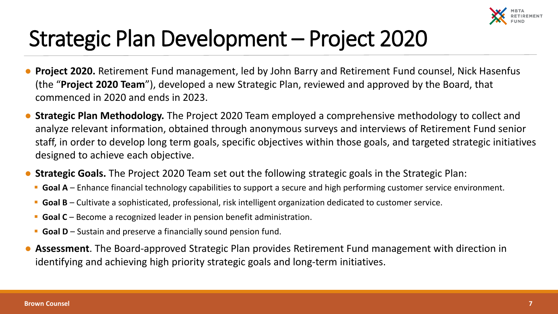

## Strategic Plan Development – Project 2020

- **Project 2020.** Retirement Fund management, led by John Barry and Retirement Fund counsel, Nick Hasenfus (the "**Project 2020 Team**"), developed a new Strategic Plan, reviewed and approved by the Board, that commenced in 2020 and ends in 2023.
- **Strategic Plan Methodology.** The Project 2020 Team employed a comprehensive methodology to collect and analyze relevant information, obtained through anonymous surveys and interviews of Retirement Fund senior staff, in order to develop long term goals, specific objectives within those goals, and targeted strategic initiatives designed to achieve each objective.
- Strategic Goals. The Project 2020 Team set out the following strategic goals in the Strategic Plan:
	- **Goal A** Enhance financial technology capabilities to support a secure and high performing customer service environment.
- **Goal B** Cultivate a sophisticated, professional, risk intelligent organization dedicated to customer service.
- **Goal C** Become a recognized leader in pension benefit administration.
- **Goal D** Sustain and preserve a financially sound pension fund.
- **Assessment**. The Board-approved Strategic Plan provides Retirement Fund management with direction in identifying and achieving high priority strategic goals and long-term initiatives.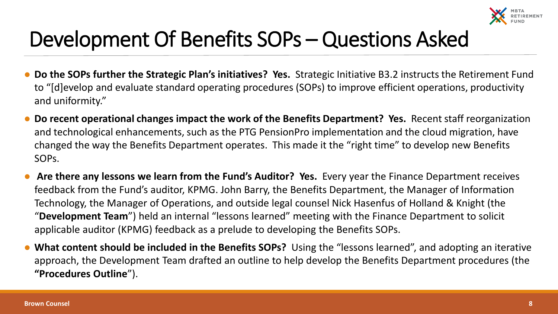

#### Development Of Benefits SOPs – Questions Asked

- **Do the SOPs further the Strategic Plan's initiatives? Yes.** Strategic Initiative B3.2 instructs the Retirement Fund to "[d]evelop and evaluate standard operating procedures (SOPs) to improve efficient operations, productivity and uniformity."
- **Do recent operational changes impact the work of the Benefits Department? Yes.** Recent staff reorganization and technological enhancements, such as the PTG PensionPro implementation and the cloud migration, have changed the way the Benefits Department operates. This made it the "right time" to develop new Benefits SOPs.
- Are there any lessons we learn from the Fund's Auditor? Yes. Every year the Finance Department receives feedback from the Fund's auditor, KPMG. John Barry, the Benefits Department, the Manager of Information Technology, the Manager of Operations, and outside legal counsel Nick Hasenfus of Holland & Knight (the "**Development Team**") held an internal "lessons learned" meeting with the Finance Department to solicit applicable auditor (KPMG) feedback as a prelude to developing the Benefits SOPs.
- **What content should be included in the Benefits SOPs?** Using the "lessons learned", and adopting an iterative approach, the Development Team drafted an outline to help develop the Benefits Department procedures (the **"Procedures Outline**").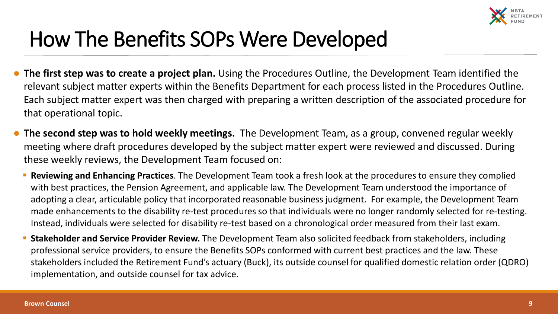

#### How The Benefits SOPs Were Developed

- **The first step was to create a project plan.** Using the Procedures Outline, the Development Team identified the relevant subject matter experts within the Benefits Department for each process listed in the Procedures Outline. Each subject matter expert was then charged with preparing a written description of the associated procedure for that operational topic.
- **The second step was to hold weekly meetings.** The Development Team, as a group, convened regular weekly meeting where draft procedures developed by the subject matter expert were reviewed and discussed. During these weekly reviews, the Development Team focused on:
	- **Reviewing and Enhancing Practices**. The Development Team took a fresh look at the procedures to ensure they complied with best practices, the Pension Agreement, and applicable law. The Development Team understood the importance of adopting a clear, articulable policy that incorporated reasonable business judgment. For example, the Development Team made enhancements to the disability re-test procedures so that individuals were no longer randomly selected for re-testing. Instead, individuals were selected for disability re-test based on a chronological order measured from their last exam.
	- **Stakeholder and Service Provider Review.** The Development Team also solicited feedback from stakeholders, including professional service providers, to ensure the Benefits SOPs conformed with current best practices and the law. These stakeholders included the Retirement Fund's actuary (Buck), its outside counsel for qualified domestic relation order (QDRO) implementation, and outside counsel for tax advice.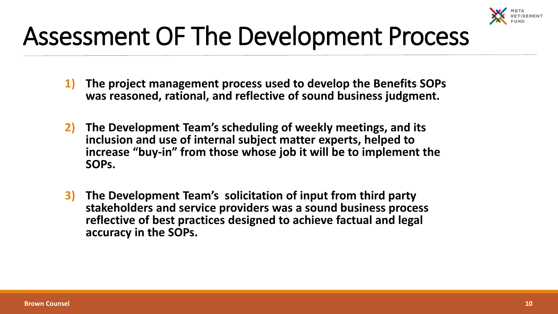

## Assessment OF The Development Process

- **1) The project management process used to develop the Benefits SOPs was reasoned, rational, and reflective of sound business judgment.**
- **2) The Development Team's scheduling of weekly meetings, and its inclusion and use of internal subject matter experts, helped to increase "buy-in" from those whose job it will be to implement the SOPs.**
- **3) The Development Team's solicitation of input from third party stakeholders and service providers was a sound business process reflective of best practices designed to achieve factual and legal accuracy in the SOPs.**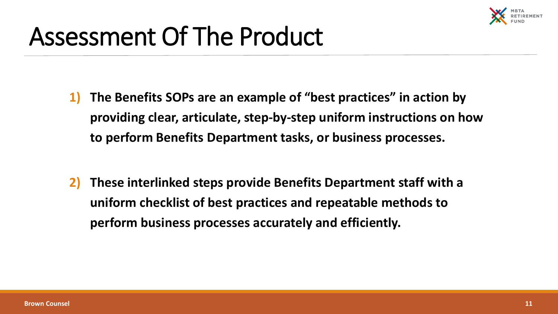

## Assessment Of The Product

- **1) The Benefits SOPs are an example of "best practices" in action by providing clear, articulate, step-by-step uniform instructions on how to perform Benefits Department tasks, or business processes.**
- **2) These interlinked steps provide Benefits Department staff with a uniform checklist of best practices and repeatable methods to perform business processes accurately and efficiently.**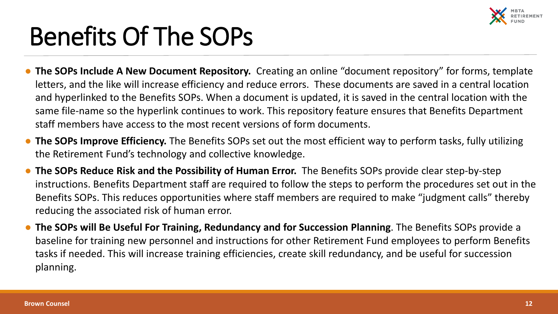

## Benefits Of The SOPs

- **The SOPs Include A New Document Repository.** Creating an online "document repository" for forms, template letters, and the like will increase efficiency and reduce errors. These documents are saved in a central location and hyperlinked to the Benefits SOPs. When a document is updated, it is saved in the central location with the same file-name so the hyperlink continues to work. This repository feature ensures that Benefits Department staff members have access to the most recent versions of form documents.
- **The SOPs Improve Efficiency.** The Benefits SOPs set out the most efficient way to perform tasks, fully utilizing the Retirement Fund's technology and collective knowledge.
- **The SOPs Reduce Risk and the Possibility of Human Error.** The Benefits SOPs provide clear step-by-step instructions. Benefits Department staff are required to follow the steps to perform the procedures set out in the Benefits SOPs. This reduces opportunities where staff members are required to make "judgment calls" thereby reducing the associated risk of human error.
- **The SOPs will Be Useful For Training, Redundancy and for Succession Planning**. The Benefits SOPs provide a baseline for training new personnel and instructions for other Retirement Fund employees to perform Benefits tasks if needed. This will increase training efficiencies, create skill redundancy, and be useful for succession planning.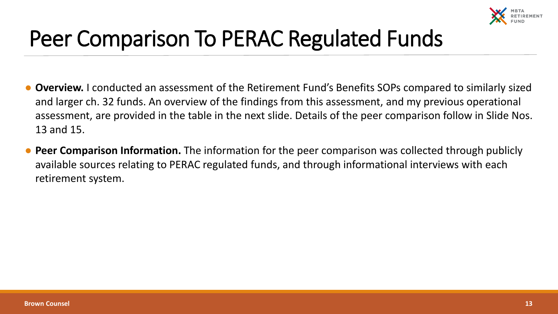

## Peer Comparison To PERAC Regulated Funds

- **Overview.** I conducted an assessment of the Retirement Fund's Benefits SOPs compared to similarly sized and larger ch. 32 funds. An overview of the findings from this assessment, and my previous operational assessment, are provided in the table in the next slide. Details of the peer comparison follow in Slide Nos. 13 and 15.
- **Peer Comparison Information.** The information for the peer comparison was collected through publicly available sources relating to PERAC regulated funds, and through informational interviews with each retirement system.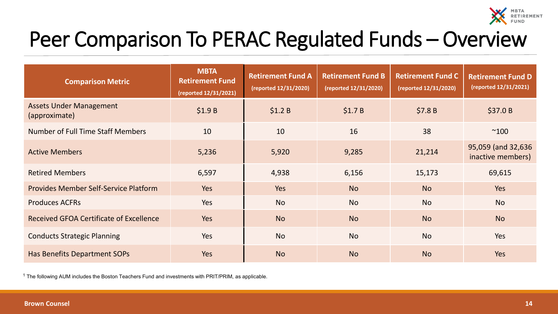

## Peer Comparison To PERAC Regulated Funds – Overview

| <b>Comparison Metric</b>                        | <b>MBTA</b><br><b>Retirement Fund</b><br>(reported 12/31/2021) | <b>Retirement Fund A</b><br>(reported 12/31/2020) | <b>Retirement Fund B</b><br>(reported 12/31/2020) | <b>Retirement Fund C</b><br>(reported 12/31/2020) | <b>Retirement Fund D</b><br>(reported 12/31/2021) |
|-------------------------------------------------|----------------------------------------------------------------|---------------------------------------------------|---------------------------------------------------|---------------------------------------------------|---------------------------------------------------|
| <b>Assets Under Management</b><br>(approximate) | \$1.9B                                                         | \$1.2 B                                           | \$1.7B                                            | \$7.8B                                            | \$37.0 B                                          |
| Number of Full Time Staff Members               | 10                                                             | 10                                                | 16                                                | 38                                                | $^{\sim}100$                                      |
| <b>Active Members</b>                           | 5,236                                                          | 5,920                                             | 9,285                                             | 21,214                                            | 95,059 (and 32,636)<br>inactive members)          |
| <b>Retired Members</b>                          | 6,597                                                          | 4,938                                             | 6,156                                             | 15,173                                            | 69,615                                            |
| <b>Provides Member Self-Service Platform</b>    | Yes                                                            | <b>Yes</b>                                        | <b>No</b>                                         | <b>No</b>                                         | Yes                                               |
| <b>Produces ACFRs</b>                           | Yes                                                            | <b>No</b>                                         | <b>No</b>                                         | <b>No</b>                                         | <b>No</b>                                         |
| <b>Received GFOA Certificate of Excellence</b>  | Yes                                                            | <b>No</b>                                         | <b>No</b>                                         | <b>No</b>                                         | <b>No</b>                                         |
| <b>Conducts Strategic Planning</b>              | Yes                                                            | <b>No</b>                                         | <b>No</b>                                         | <b>No</b>                                         | Yes                                               |
| Has Benefits Department SOPs                    | <b>Yes</b>                                                     | <b>No</b>                                         | <b>No</b>                                         | <b>No</b>                                         | Yes                                               |

<sup>1</sup> The following AUM includes the Boston Teachers Fund and investments with PRIT/PRIM, as applicable.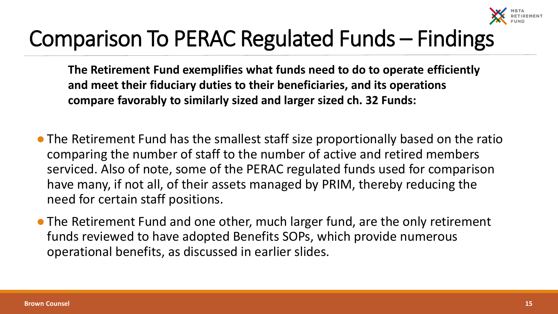

## Comparison To PERAC Regulated Funds – Findings

**The Retirement Fund exemplifies what funds need to do to operate efficiently and meet their fiduciary duties to their beneficiaries, and its operations compare favorably to similarly sized and larger sized ch. 32 Funds:**

- ●The Retirement Fund has the smallest staff size proportionally based on the ratio comparing the number of staff to the number of active and retired members serviced. Also of note, some of the PERAC regulated funds used for comparison have many, if not all, of their assets managed by PRIM, thereby reducing the need for certain staff positions.
- ●The Retirement Fund and one other, much larger fund, are the only retirement funds reviewed to have adopted Benefits SOPs, which provide numerous operational benefits, as discussed in earlier slides.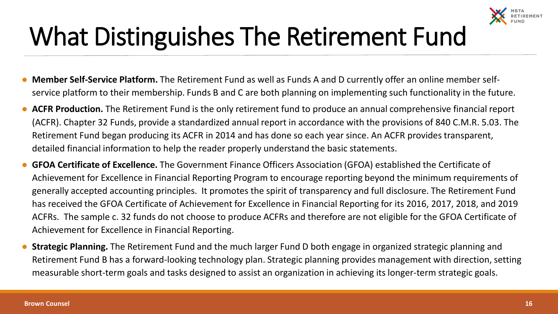

## What Distinguishes The Retirement Fund

- **Member Self-Service Platform.** The Retirement Fund as well as Funds A and D currently offer an online member selfservice platform to their membership. Funds B and C are both planning on implementing such functionality in the future.
- **ACFR Production.** The Retirement Fund is the only retirement fund to produce an annual comprehensive financial report (ACFR). Chapter 32 Funds, provide a standardized annual report in accordance with the provisions of 840 C.M.R. 5.03. The Retirement Fund began producing its ACFR in 2014 and has done so each year since. An ACFR provides transparent, detailed financial information to help the reader properly understand the basic statements.
- **GFOA Certificate of Excellence.** The Government Finance Officers Association (GFOA) established the Certificate of Achievement for Excellence in Financial Reporting Program to encourage reporting beyond the minimum requirements of generally accepted accounting principles. It promotes the spirit of transparency and full disclosure. The Retirement Fund has received the GFOA Certificate of Achievement for Excellence in Financial Reporting for its 2016, 2017, 2018, and 2019 ACFRs. The sample c. 32 funds do not choose to produce ACFRs and therefore are not eligible for the GFOA Certificate of Achievement for Excellence in Financial Reporting.
- **Strategic Planning.** The Retirement Fund and the much larger Fund D both engage in organized strategic planning and Retirement Fund B has a forward-looking technology plan. Strategic planning provides management with direction, setting measurable short-term goals and tasks designed to assist an organization in achieving its longer-term strategic goals.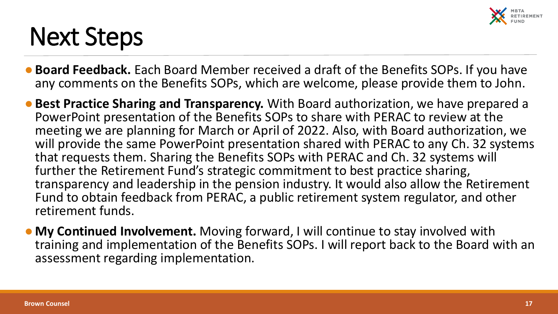

## Next Steps

- ●**Board Feedback.** Each Board Member received a draft of the Benefits SOPs. If you have any comments on the Benefits SOPs, which are welcome, please provide them to John.
- Best Practice Sharing and Transparency. With Board authorization, we have prepared a PowerPoint presentation of the Benefits SOPs to share with PERAC to review at the meeting we are planning for March or April of 2022. Also, with Board authorization, we will provide the same PowerPoint presentation shared with PERAC to any Ch. 32 systems that requests them. Sharing the Benefits SOPs with PERAC and Ch. 32 systems will further the Retirement Fund's strategic commitment to best practice sharing, transparency and leadership in the pension industry. It would also allow the Retirement Fund to obtain feedback from PERAC, a public retirement system regulator, and other retirement funds.
- **My Continued Involvement.** Moving forward, I will continue to stay involved with training and implementation of the Benefits SOPs. I will report back to the Board with an assessment regarding implementation.